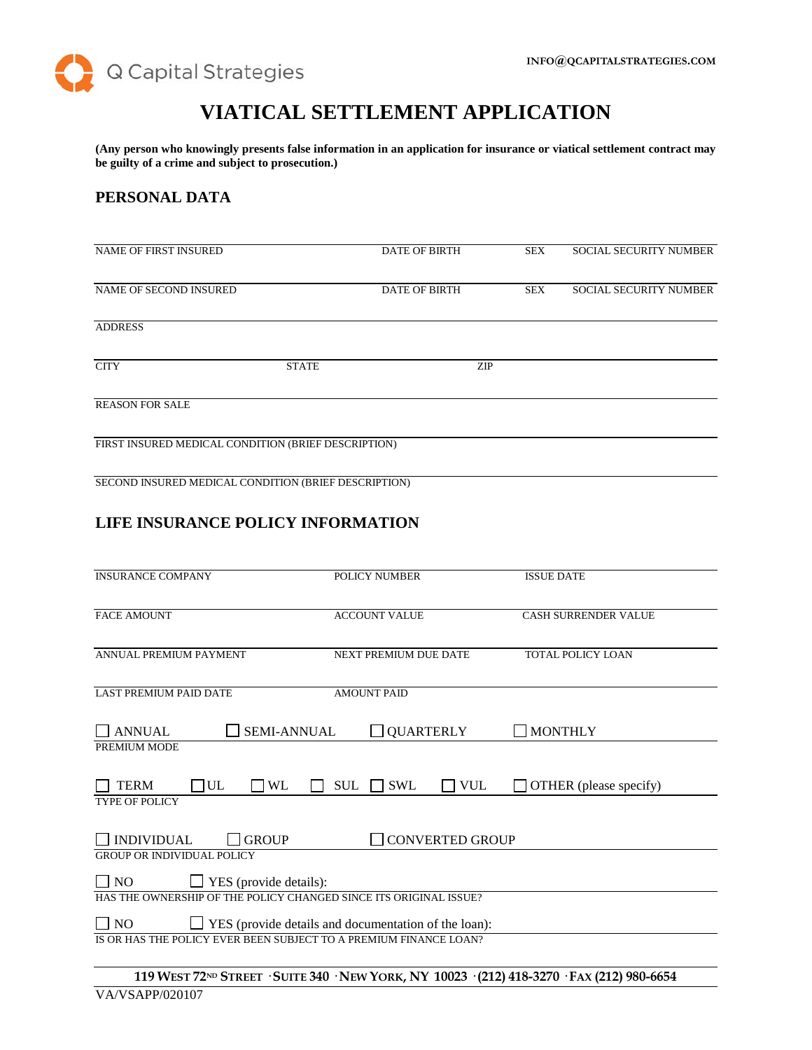

# **VIATICAL SETTLEMENT APPLICATION**

**(Any person who knowingly presents false information in an application for insurance or viatical settlement contract may be guilty of a crime and subject to prosecution.)**

# **PERSONAL DATA**

| <b>NAME OF FIRST INSURED</b>                        |              | <b>DATE OF BIRTH</b> | <b>SEX</b> | <b>SOCIAL SECURITY NUMBER</b> |
|-----------------------------------------------------|--------------|----------------------|------------|-------------------------------|
|                                                     |              |                      |            |                               |
| NAME OF SECOND INSURED                              |              | <b>DATE OF BIRTH</b> | <b>SEX</b> | <b>SOCIAL SECURITY NUMBER</b> |
|                                                     |              |                      |            |                               |
| <b>ADDRESS</b>                                      |              |                      |            |                               |
|                                                     |              |                      |            |                               |
| <b>CITY</b>                                         | <b>STATE</b> |                      | <b>ZIP</b> |                               |
| <b>REASON FOR SALE</b>                              |              |                      |            |                               |
|                                                     |              |                      |            |                               |
| FIRST INSURED MEDICAL CONDITION (BRIEF DESCRIPTION) |              |                      |            |                               |

SECOND INSURED MEDICAL CONDITION (BRIEF DESCRIPTION)

# **LIFE INSURANCE POLICY INFORMATION**

| <b>INSURANCE COMPANY</b>                                                                                                                  | <b>POLICY NUMBER</b>                                                | <b>ISSUE DATE</b>           |
|-------------------------------------------------------------------------------------------------------------------------------------------|---------------------------------------------------------------------|-----------------------------|
| <b>FACE AMOUNT</b>                                                                                                                        | <b>ACCOUNT VALUE</b>                                                | <b>CASH SURRENDER VALUE</b> |
| ANNUAL PREMIUM PAYMENT                                                                                                                    | NEXT PREMIUM DUE DATE                                               | <b>TOTAL POLICY LOAN</b>    |
| <b>LAST PREMIUM PAID DATE</b>                                                                                                             | <b>AMOUNT PAID</b>                                                  |                             |
| <b>ANNUAL</b><br><b>SEMI-ANNUAL</b><br>PREMIUM MODE                                                                                       | <b>QUARTERLY</b>                                                    | <b>MONTHLY</b>              |
| $\overline{\phantom{a}}$ UL<br>WL<br><b>TERM</b><br><b>TYPE OF POLICY</b>                                                                 | <b>VUL</b><br><b>SUL</b><br><b>SWL</b><br>$\mathsf{I}$              | OTHER (please specify)      |
| <b>INDIVIDUAL</b><br><b>GROUP</b>                                                                                                         | <b>CONVERTED GROUP</b>                                              |                             |
| <b>GROUP OR INDIVIDUAL POLICY</b>                                                                                                         |                                                                     |                             |
| $\blacksquare$ YES (provide details):<br>$\overline{\phantom{0}}$ NO<br>HAS THE OWNERSHIP OF THE POLICY CHANGED SINCE ITS ORIGINAL ISSUE? |                                                                     |                             |
| $\Box$ NO<br>IS OR HAS THE POLICY EVER BEEN SUBJECT TO A PREMIUM FINANCE LOAN?                                                            | <b>Theorem</b> YES (provide details and documentation of the loan): |                             |
|                                                                                                                                           | $A A A B A C = -$                                                   |                             |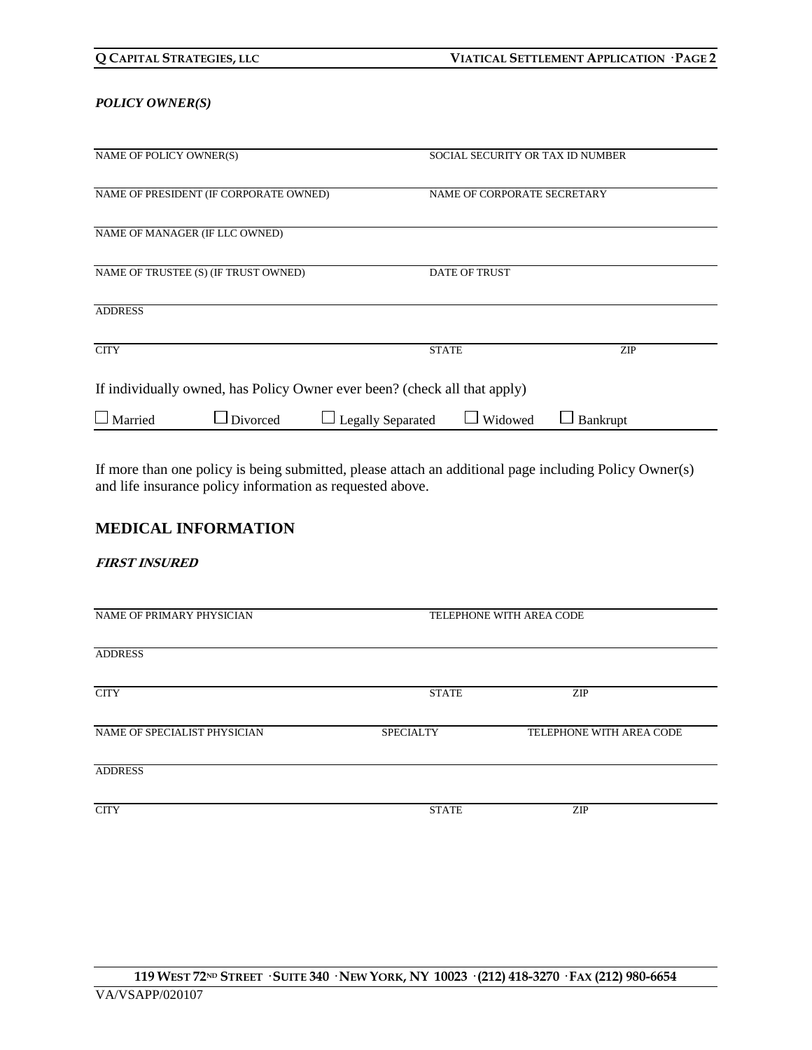## *POLICY OWNER(S)*

| NAME OF POLICY OWNER(S)                                                   | SOCIAL SECURITY OR TAX ID NUMBER    |          |  |
|---------------------------------------------------------------------------|-------------------------------------|----------|--|
| NAME OF PRESIDENT (IF CORPORATE OWNED)                                    | NAME OF CORPORATE SECRETARY         |          |  |
| NAME OF MANAGER (IF LLC OWNED)                                            |                                     |          |  |
| NAME OF TRUSTEE (S) (IF TRUST OWNED)                                      | <b>DATE OF TRUST</b>                |          |  |
| <b>ADDRESS</b>                                                            |                                     |          |  |
| <b>CITY</b>                                                               | <b>STATE</b>                        | ZIP      |  |
| If individually owned, has Policy Owner ever been? (check all that apply) |                                     |          |  |
| $\Box$ Married<br>Divorced                                                | Widowed<br><b>Legally Separated</b> | Bankrupt |  |

If more than one policy is being submitted, please attach an additional page including Policy Owner(s) and life insurance policy information as requested above.

# **MEDICAL INFORMATION**

## **FIRST INSURED**

| NAME OF PRIMARY PHYSICIAN    | TELEPHONE WITH AREA CODE |                          |
|------------------------------|--------------------------|--------------------------|
| <b>ADDRESS</b>               |                          |                          |
| <b>CITY</b>                  | <b>STATE</b>             | <b>ZIP</b>               |
| NAME OF SPECIALIST PHYSICIAN | <b>SPECIALTY</b>         | TELEPHONE WITH AREA CODE |
| <b>ADDRESS</b>               |                          |                          |
| <b>CITY</b>                  | <b>STATE</b>             | <b>ZIP</b>               |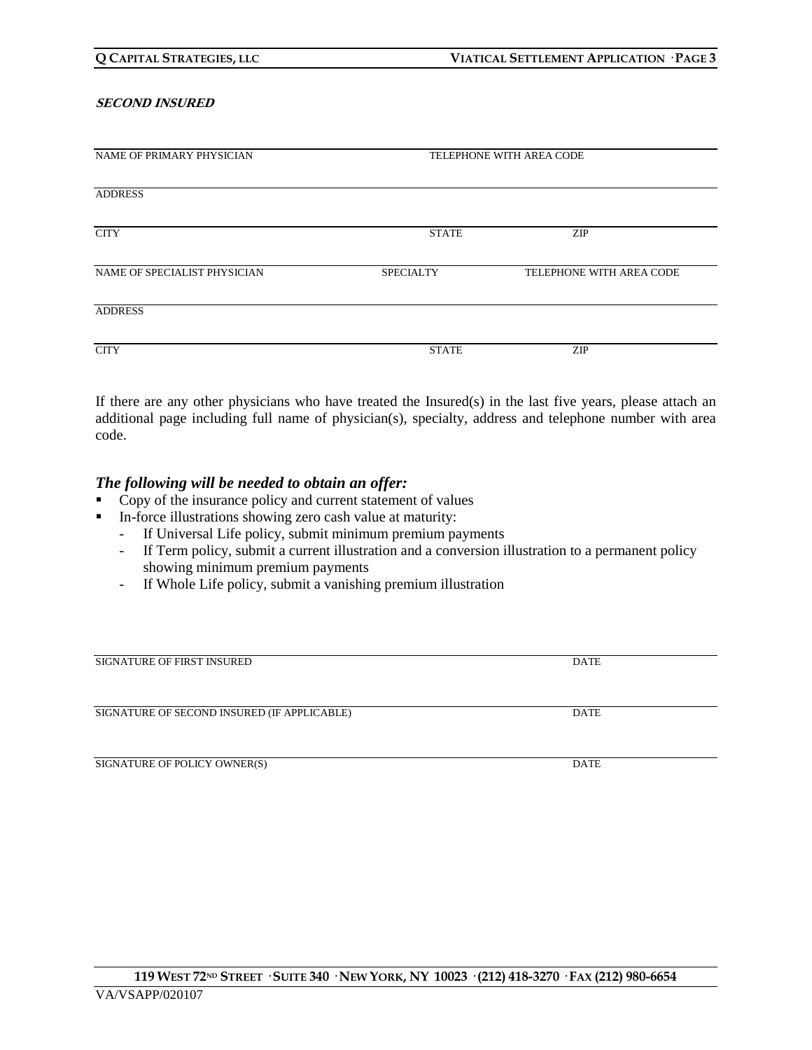#### **SECOND INSURED**

| NAME OF PRIMARY PHYSICIAN    |                  | TELEPHONE WITH AREA CODE |  |  |
|------------------------------|------------------|--------------------------|--|--|
|                              |                  |                          |  |  |
|                              |                  |                          |  |  |
| <b>ADDRESS</b>               |                  |                          |  |  |
|                              |                  |                          |  |  |
|                              |                  |                          |  |  |
| <b>CITY</b>                  | <b>STATE</b>     | <b>ZIP</b>               |  |  |
|                              |                  |                          |  |  |
|                              |                  |                          |  |  |
| NAME OF SPECIALIST PHYSICIAN | <b>SPECIALTY</b> | TELEPHONE WITH AREA CODE |  |  |
|                              |                  |                          |  |  |
|                              |                  |                          |  |  |
| <b>ADDRESS</b>               |                  |                          |  |  |
|                              |                  |                          |  |  |
|                              |                  |                          |  |  |
| <b>CITY</b>                  | <b>STATE</b>     | <b>ZIP</b>               |  |  |
|                              |                  |                          |  |  |

If there are any other physicians who have treated the Insured(s) in the last five years, please attach an additional page including full name of physician(s), specialty, address and telephone number with area code.

## *The following will be needed to obtain an offer:*

- Copy of the insurance policy and current statement of values
- In-force illustrations showing zero cash value at maturity:
	- If Universal Life policy, submit minimum premium payments
	- If Term policy, submit a current illustration and a conversion illustration to a permanent policy showing minimum premium payments
	- If Whole Life policy, submit a vanishing premium illustration

| <b>SIGNATURE OF FIRST INSURED</b>           | <b>DATE</b> |
|---------------------------------------------|-------------|
|                                             |             |
|                                             |             |
| SIGNATURE OF SECOND INSURED (IF APPLICABLE) | <b>DATE</b> |
|                                             |             |
|                                             |             |
| SIGNATURE OF POLICY OWNER(S)                | <b>DATE</b> |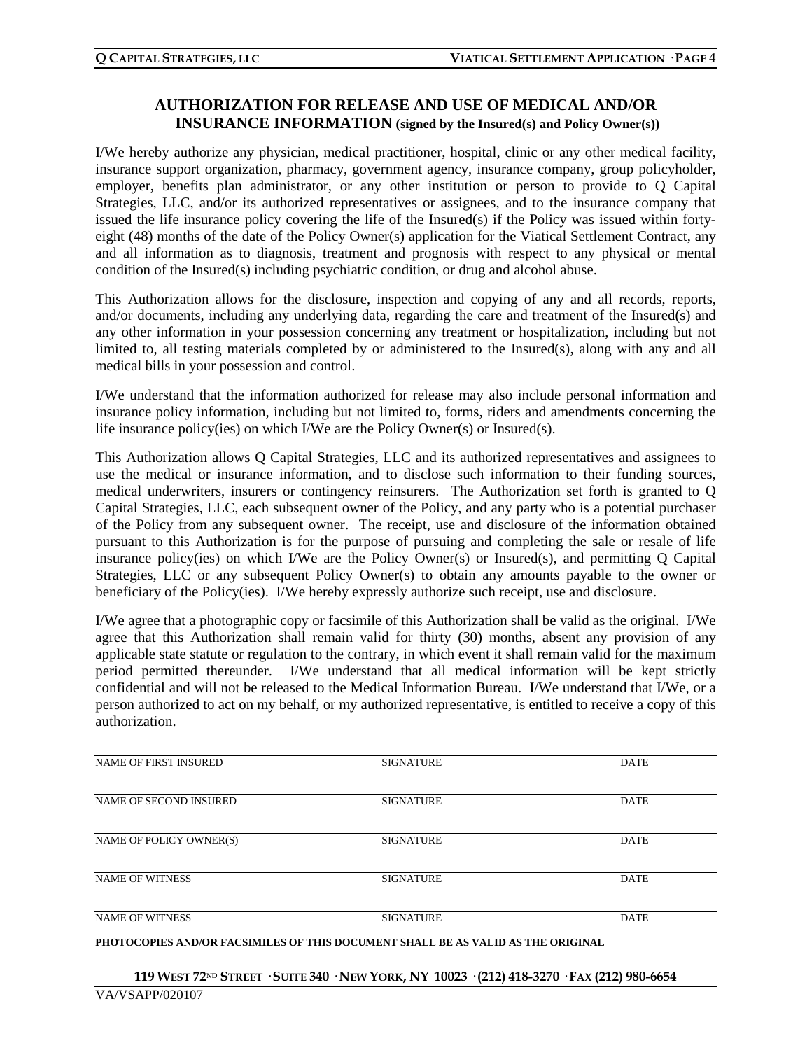# **AUTHORIZATION FOR RELEASE AND USE OF MEDICAL AND/OR INSURANCE INFORMATION (signed by the Insured(s) and Policy Owner(s))**

I/We hereby authorize any physician, medical practitioner, hospital, clinic or any other medical facility, insurance support organization, pharmacy, government agency, insurance company, group policyholder, employer, benefits plan administrator, or any other institution or person to provide to Q Capital Strategies, LLC, and/or its authorized representatives or assignees, and to the insurance company that issued the life insurance policy covering the life of the Insured(s) if the Policy was issued within fortyeight (48) months of the date of the Policy Owner(s) application for the Viatical Settlement Contract, any and all information as to diagnosis, treatment and prognosis with respect to any physical or mental condition of the Insured(s) including psychiatric condition, or drug and alcohol abuse.

This Authorization allows for the disclosure, inspection and copying of any and all records, reports, and/or documents, including any underlying data, regarding the care and treatment of the Insured(s) and any other information in your possession concerning any treatment or hospitalization, including but not limited to, all testing materials completed by or administered to the Insured(s), along with any and all medical bills in your possession and control.

I/We understand that the information authorized for release may also include personal information and insurance policy information, including but not limited to, forms, riders and amendments concerning the life insurance policy(ies) on which I/We are the Policy Owner(s) or Insured(s).

This Authorization allows Q Capital Strategies, LLC and its authorized representatives and assignees to use the medical or insurance information, and to disclose such information to their funding sources, medical underwriters, insurers or contingency reinsurers. The Authorization set forth is granted to Q Capital Strategies, LLC, each subsequent owner of the Policy, and any party who is a potential purchaser of the Policy from any subsequent owner. The receipt, use and disclosure of the information obtained pursuant to this Authorization is for the purpose of pursuing and completing the sale or resale of life insurance policy(ies) on which I/We are the Policy Owner(s) or Insured(s), and permitting Q Capital Strategies, LLC or any subsequent Policy Owner(s) to obtain any amounts payable to the owner or beneficiary of the Policy(ies). I/We hereby expressly authorize such receipt, use and disclosure.

I/We agree that a photographic copy or facsimile of this Authorization shall be valid as the original. I/We agree that this Authorization shall remain valid for thirty (30) months, absent any provision of any applicable state statute or regulation to the contrary, in which event it shall remain valid for the maximum period permitted thereunder. I/We understand that all medical information will be kept strictly confidential and will not be released to the Medical Information Bureau. I/We understand that I/We, or a person authorized to act on my behalf, or my authorized representative, is entitled to receive a copy of this authorization.

| <b>NAME OF FIRST INSURED</b>                                                     | <b>SIGNATURE</b> | <b>DATE</b> |  |
|----------------------------------------------------------------------------------|------------------|-------------|--|
|                                                                                  |                  |             |  |
| NAME OF SECOND INSURED                                                           | <b>SIGNATURE</b> | <b>DATE</b> |  |
|                                                                                  |                  |             |  |
| NAME OF POLICY OWNER(S)                                                          | <b>SIGNATURE</b> | <b>DATE</b> |  |
|                                                                                  |                  |             |  |
| <b>NAME OF WITNESS</b>                                                           | <b>SIGNATURE</b> | <b>DATE</b> |  |
|                                                                                  |                  |             |  |
| <b>NAME OF WITNESS</b>                                                           | <b>SIGNATURE</b> | <b>DATE</b> |  |
| PHOTOCOPIES AND/OR FACSIMILES OF THIS DOCUMENT SHALL BE AS VALID AS THE ORIGINAL |                  |             |  |

**119 WEST 72ND STREET · SUITE 340 · NEW YORK, NY 10023 · (212) 418-3270 · FAX (212) 980-6654**

## VA/VSAPP/020107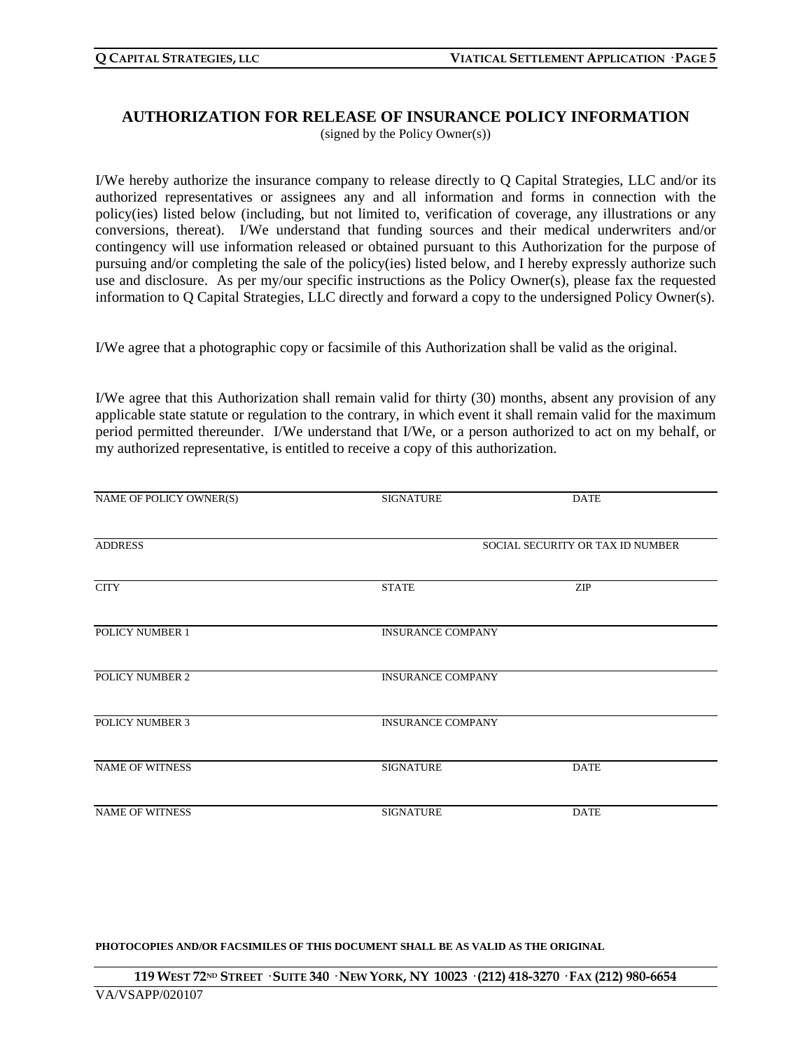## **AUTHORIZATION FOR RELEASE OF INSURANCE POLICY INFORMATION** (signed by the Policy Owner(s))

I/We hereby authorize the insurance company to release directly to Q Capital Strategies, LLC and/or its authorized representatives or assignees any and all information and forms in connection with the policy(ies) listed below (including, but not limited to, verification of coverage, any illustrations or any conversions, thereat). I/We understand that funding sources and their medical underwriters and/or contingency will use information released or obtained pursuant to this Authorization for the purpose of pursuing and/or completing the sale of the policy(ies) listed below, and I hereby expressly authorize such use and disclosure. As per my/our specific instructions as the Policy Owner(s), please fax the requested information to Q Capital Strategies, LLC directly and forward a copy to the undersigned Policy Owner(s).

I/We agree that a photographic copy or facsimile of this Authorization shall be valid as the original.

I/We agree that this Authorization shall remain valid for thirty (30) months, absent any provision of any applicable state statute or regulation to the contrary, in which event it shall remain valid for the maximum period permitted thereunder. I/We understand that I/We, or a person authorized to act on my behalf, or my authorized representative, is entitled to receive a copy of this authorization.

| NAME OF POLICY OWNER(S) | <b>SIGNATURE</b>                 | <b>DATE</b> |
|-------------------------|----------------------------------|-------------|
| <b>ADDRESS</b>          | SOCIAL SECURITY OR TAX ID NUMBER |             |
| <b>CITY</b>             | <b>STATE</b>                     | <b>ZIP</b>  |
| POLICY NUMBER 1         | <b>INSURANCE COMPANY</b>         |             |
| POLICY NUMBER 2         | <b>INSURANCE COMPANY</b>         |             |
| <b>POLICY NUMBER 3</b>  | <b>INSURANCE COMPANY</b>         |             |
| <b>NAME OF WITNESS</b>  | <b>SIGNATURE</b>                 | <b>DATE</b> |
| <b>NAME OF WITNESS</b>  | <b>SIGNATURE</b>                 | <b>DATE</b> |

**PHOTOCOPIES AND/OR FACSIMILES OF THIS DOCUMENT SHALL BE AS VALID AS THE ORIGINAL**